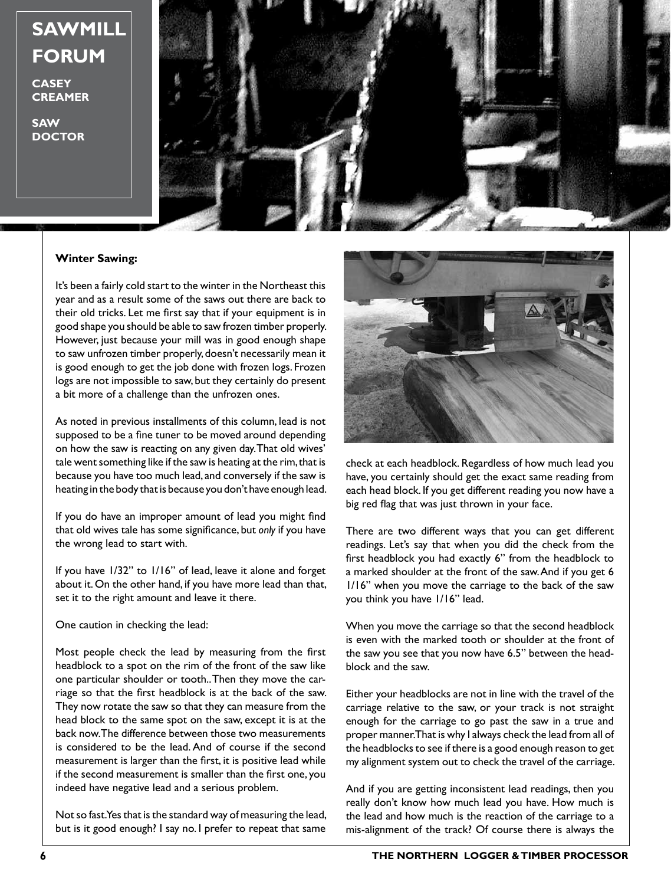## **SAWMILL FORUM**

**CASEY CREAMER**

**SAW DOCTOR**



## **Winter Sawing:**

It's been a fairly cold start to the winter in the Northeast this year and as a result some of the saws out there are back to their old tricks. Let me first say that if your equipment is in good shape you should be able to saw frozen timber properly. However, just because your mill was in good enough shape to saw unfrozen timber properly, doesn't necessarily mean it is good enough to get the job done with frozen logs. Frozen logs are not impossible to saw, but they certainly do present a bit more of a challenge than the unfrozen ones.

As noted in previous installments of this column, lead is not supposed to be a fine tuner to be moved around depending on how the saw is reacting on any given day. That old wives' tale went something like if the saw is heating at the rim, that is because you have too much lead, and conversely if the saw is heating in the body that is because you don't have enough lead.

If you do have an improper amount of lead you might find that old wives tale has some significance, but *only* if you have the wrong lead to start with.

If you have 1/32" to 1/16" of lead, leave it alone and forget about it. On the other hand, if you have more lead than that, set it to the right amount and leave it there.

## One caution in checking the lead:

Most people check the lead by measuring from the first headblock to a spot on the rim of the front of the saw like one particular shoulder or tooth.. Then they move the carriage so that the first headblock is at the back of the saw. They now rotate the saw so that they can measure from the head block to the same spot on the saw, except it is at the back now. The difference between those two measurements is considered to be the lead. And of course if the second measurement is larger than the first, it is positive lead while if the second measurement is smaller than the first one, you indeed have negative lead and a serious problem.

Not so fast. Yes that is the standard way of measuring the lead, but is it good enough? I say no. I prefer to repeat that same



check at each headblock. Regardless of how much lead you have, you certainly should get the exact same reading from each head block. If you get different reading you now have a big red flag that was just thrown in your face.

There are two different ways that you can get different readings. Let's say that when you did the check from the first headblock you had exactly 6" from the headblock to a marked shoulder at the front of the saw. And if you get 6 1/16" when you move the carriage to the back of the saw you think you have 1/16" lead.

When you move the carriage so that the second headblock is even with the marked tooth or shoulder at the front of the saw you see that you now have 6.5" between the headblock and the saw.

Either your headblocks are not in line with the travel of the carriage relative to the saw, or your track is not straight enough for the carriage to go past the saw in a true and proper manner. That is why I always check the lead from all of the headblocks to see if there is a good enough reason to get my alignment system out to check the travel of the carriage.

And if you are getting inconsistent lead readings, then you really don't know how much lead you have. How much is the lead and how much is the reaction of the carriage to a mis-alignment of the track? Of course there is always the